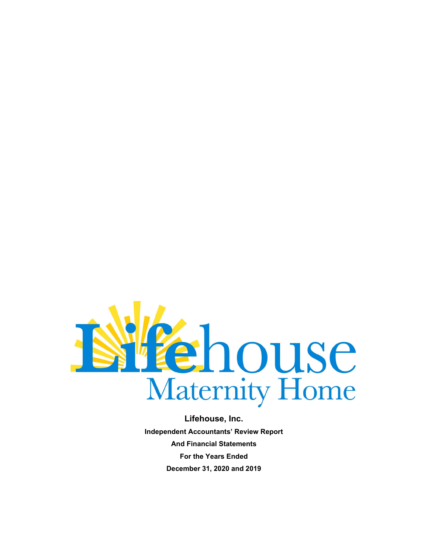

**Independent Accountants' Review Report And Financial Statements For the Years Ended December 31, 2020 and 2019**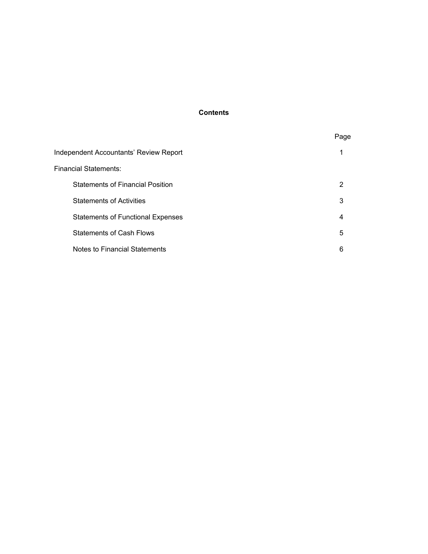## **Contents**

|                                          | Page |
|------------------------------------------|------|
| Independent Accountants' Review Report   |      |
| Financial Statements:                    |      |
| <b>Statements of Financial Position</b>  | 2    |
| <b>Statements of Activities</b>          | 3    |
| <b>Statements of Functional Expenses</b> | 4    |
| <b>Statements of Cash Flows</b>          | 5    |
| Notes to Financial Statements            | 6    |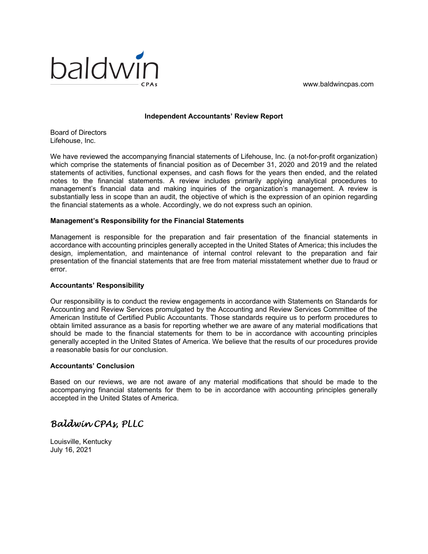

#### **Independent Accountants' Review Report**

Board of Directors Lifehouse, Inc.

We have reviewed the accompanying financial statements of Lifehouse, Inc. (a not-for-profit organization) which comprise the statements of financial position as of December 31, 2020 and 2019 and the related statements of activities, functional expenses, and cash flows for the years then ended, and the related notes to the financial statements. A review includes primarily applying analytical procedures to management's financial data and making inquiries of the organization's management. A review is substantially less in scope than an audit, the objective of which is the expression of an opinion regarding the financial statements as a whole. Accordingly, we do not express such an opinion.

## **Management's Responsibility for the Financial Statements**

Management is responsible for the preparation and fair presentation of the financial statements in accordance with accounting principles generally accepted in the United States of America; this includes the design, implementation, and maintenance of internal control relevant to the preparation and fair presentation of the financial statements that are free from material misstatement whether due to fraud or error.

## **Accountants' Responsibility**

Our responsibility is to conduct the review engagements in accordance with Statements on Standards for Accounting and Review Services promulgated by the Accounting and Review Services Committee of the American Institute of Certified Public Accountants. Those standards require us to perform procedures to obtain limited assurance as a basis for reporting whether we are aware of any material modifications that should be made to the financial statements for them to be in accordance with accounting principles generally accepted in the United States of America. We believe that the results of our procedures provide a reasonable basis for our conclusion.

## **Accountants' Conclusion**

Based on our reviews, we are not aware of any material modifications that should be made to the accompanying financial statements for them to be in accordance with accounting principles generally accepted in the United States of America.

# *Baldwin CPAs, PLLC*

Louisville, Kentucky July 16, 2021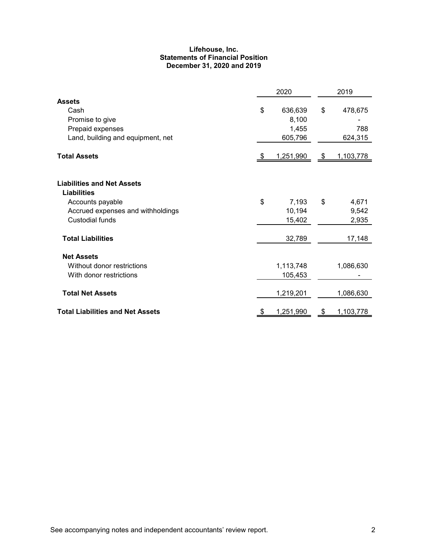#### **Lifehouse, Inc. Statements of Financial Position December 31, 2020 and 2019**

|                                                                                                                                            |    | 2020                                 |    |                           |  |  |  |
|--------------------------------------------------------------------------------------------------------------------------------------------|----|--------------------------------------|----|---------------------------|--|--|--|
| <b>Assets</b><br>Cash<br>Promise to give<br>Prepaid expenses<br>Land, building and equipment, net                                          | \$ | 636,639<br>8,100<br>1,455<br>605,796 | \$ | 478,675<br>788<br>624,315 |  |  |  |
| <b>Total Assets</b>                                                                                                                        | S. | 1,251,990                            | \$ | 1,103,778                 |  |  |  |
| <b>Liabilities and Net Assets</b><br><b>Liabilities</b><br>Accounts payable<br>Accrued expenses and withholdings<br><b>Custodial funds</b> | \$ | 7,193<br>10,194<br>15,402            | \$ | 4,671<br>9,542<br>2,935   |  |  |  |
| <b>Total Liabilities</b>                                                                                                                   |    | 32,789                               |    | 17,148                    |  |  |  |
| <b>Net Assets</b><br>Without donor restrictions<br>With donor restrictions<br><b>Total Net Assets</b>                                      |    | 1,113,748<br>105,453<br>1,219,201    |    | 1,086,630<br>1,086,630    |  |  |  |
| <b>Total Liabilities and Net Assets</b>                                                                                                    | \$ | 1,251,990                            | \$ | 1,103,778                 |  |  |  |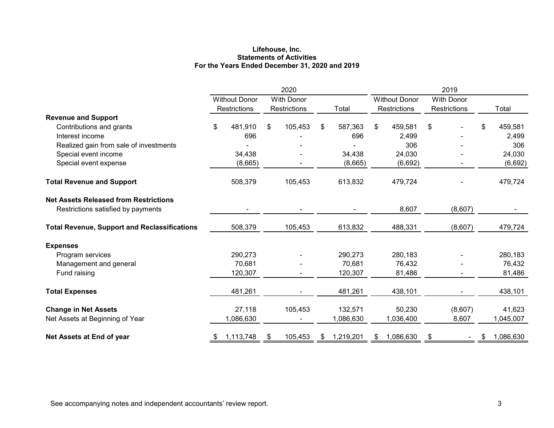#### **Lifehouse, Inc. Statements of Activities For the Years Ended December 31, 2020 and 2019**

|                                                                                    | 2020                |                      |    |                   |    |           | 2019 |                      |                                   |  |   |           |
|------------------------------------------------------------------------------------|---------------------|----------------------|----|-------------------|----|-----------|------|----------------------|-----------------------------------|--|---|-----------|
|                                                                                    |                     | <b>Without Donor</b> |    | <b>With Donor</b> |    |           |      | <b>Without Donor</b> | <b>With Donor</b><br>Restrictions |  |   |           |
|                                                                                    | <b>Restrictions</b> |                      |    | Restrictions      |    | Total     |      | Restrictions         |                                   |  |   | Total     |
| <b>Revenue and Support</b>                                                         |                     |                      |    |                   |    |           |      |                      |                                   |  |   |           |
| Contributions and grants                                                           | \$                  | 481,910              | \$ | 105,453           | \$ | 587,363   | \$   | 459,581              | \$                                |  | S | 459,581   |
| Interest income                                                                    |                     | 696                  |    |                   |    | 696       |      | 2,499                |                                   |  |   | 2,499     |
| Realized gain from sale of investments                                             |                     |                      |    |                   |    |           |      | 306                  |                                   |  |   | 306       |
| Special event income                                                               |                     | 34,438               |    |                   |    | 34,438    |      | 24,030               |                                   |  |   | 24,030    |
| Special event expense                                                              |                     | (8,665)              |    |                   |    | (8,665)   |      | (6,692)              |                                   |  |   | (6,692)   |
| <b>Total Revenue and Support</b>                                                   |                     | 508,379              |    | 105,453           |    | 613,832   |      | 479,724              |                                   |  |   | 479,724   |
| <b>Net Assets Released from Restrictions</b><br>Restrictions satisfied by payments |                     |                      |    |                   |    |           |      | 8,607                | (8,607)                           |  |   |           |
| <b>Total Revenue, Support and Reclassifications</b>                                |                     | 508,379              |    | 105,453           |    | 613,832   |      | 488,331              | (8,607)                           |  |   | 479,724   |
| <b>Expenses</b>                                                                    |                     |                      |    |                   |    |           |      |                      |                                   |  |   |           |
| Program services                                                                   |                     | 290,273              |    |                   |    | 290,273   |      | 280,183              |                                   |  |   | 280,183   |
| Management and general                                                             |                     | 70,681               |    |                   |    | 70,681    |      | 76,432               |                                   |  |   | 76,432    |
| Fund raising                                                                       |                     | 120,307              |    |                   |    | 120,307   |      | 81,486               |                                   |  |   | 81,486    |
| <b>Total Expenses</b>                                                              |                     | 481,261              |    |                   |    | 481,261   |      | 438,101              |                                   |  |   | 438,101   |
| <b>Change in Net Assets</b>                                                        |                     | 27,118               |    | 105,453           |    | 132,571   |      | 50,230               | (8,607)                           |  |   | 41,623    |
| Net Assets at Beginning of Year                                                    |                     | 1,086,630            |    |                   |    | 1,086,630 |      | 1,036,400            | 8,607                             |  |   | 1,045,007 |
| Net Assets at End of year                                                          | \$                  | 1,113,748            |    | 105,453           | S  | 1,219,201 | \$   | 1,086,630            | - \$                              |  |   | 1,086,630 |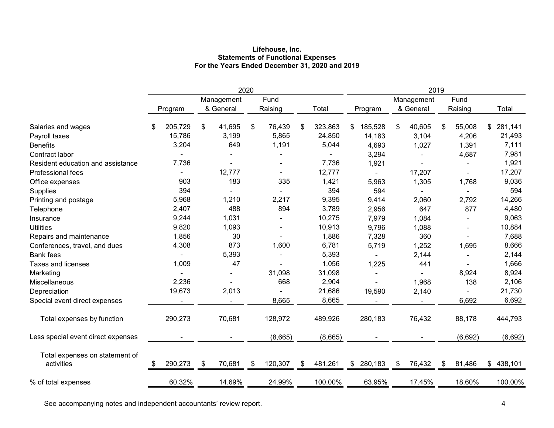#### **Lifehouse, Inc. Statements of Functional Expenses For the Years Ended December 31, 2020 and 2019**

|                                              | 2020 |         |    |                         |    |                 |    | 2019    |               |    |                         |    |                 |    |         |
|----------------------------------------------|------|---------|----|-------------------------|----|-----------------|----|---------|---------------|----|-------------------------|----|-----------------|----|---------|
|                                              |      | Program |    | Management<br>& General |    | Fund<br>Raising |    | Total   | Program       |    | Management<br>& General |    | Fund<br>Raising |    | Total   |
| Salaries and wages                           |      | 205,729 | \$ | 41,695                  | \$ | 76,439          | S  | 323,863 | 185,528<br>\$ | \$ | 40,605                  | \$ | 55,008          | \$ | 281,141 |
| Payroll taxes                                |      | 15,786  |    | 3,199                   |    | 5,865           |    | 24,850  | 14,183        |    | 3,104                   |    | 4,206           |    | 21,493  |
| <b>Benefits</b>                              |      | 3,204   |    | 649                     |    | 1,191           |    | 5,044   | 4,693         |    | 1,027                   |    | 1,391           |    | 7,111   |
| Contract labor                               |      |         |    |                         |    |                 |    |         | 3,294         |    |                         |    | 4,687           |    | 7,981   |
| Resident education and assistance            |      | 7,736   |    |                         |    |                 |    | 7,736   | 1,921         |    |                         |    |                 |    | 1,921   |
| Professional fees                            |      |         |    | 12,777                  |    |                 |    | 12,777  |               |    | 17,207                  |    |                 |    | 17,207  |
| Office expenses                              |      | 903     |    | 183                     |    | 335             |    | 1,421   | 5,963         |    | 1,305                   |    | 1,768           |    | 9,036   |
| Supplies                                     |      | 394     |    |                         |    |                 |    | 394     | 594           |    |                         |    |                 |    | 594     |
| Printing and postage                         |      | 5,968   |    | 1,210                   |    | 2,217           |    | 9,395   | 9,414         |    | 2,060                   |    | 2,792           |    | 14,266  |
| Telephone                                    |      | 2,407   |    | 488                     |    | 894             |    | 3,789   | 2,956         |    | 647                     |    | 877             |    | 4,480   |
| Insurance                                    |      | 9,244   |    | 1,031                   |    |                 |    | 10,275  | 7,979         |    | 1,084                   |    |                 |    | 9,063   |
| <b>Utilities</b>                             |      | 9,820   |    | 1,093                   |    |                 |    | 10,913  | 9,796         |    | 1,088                   |    |                 |    | 10,884  |
| Repairs and maintenance                      |      | 1,856   |    | 30                      |    |                 |    | 1,886   | 7,328         |    | 360                     |    |                 |    | 7,688   |
| Conferences, travel, and dues                |      | 4,308   |    | 873                     |    | 1,600           |    | 6,781   | 5,719         |    | 1,252                   |    | 1,695           |    | 8,666   |
| <b>Bank fees</b>                             |      |         |    | 5,393                   |    |                 |    | 5,393   |               |    | 2,144                   |    |                 |    | 2,144   |
| Taxes and licenses                           |      | 1,009   |    | 47                      |    |                 |    | 1,056   | 1,225         |    | 441                     |    |                 |    | 1,666   |
| Marketing                                    |      |         |    |                         |    | 31,098          |    | 31,098  |               |    |                         |    | 8,924           |    | 8,924   |
| Miscellaneous                                |      | 2,236   |    |                         |    | 668             |    | 2,904   |               |    | 1,968                   |    | 138             |    | 2,106   |
| Depreciation                                 |      | 19,673  |    | 2,013                   |    |                 |    | 21,686  | 19,590        |    | 2,140                   |    |                 |    | 21,730  |
| Special event direct expenses                |      |         |    |                         |    | 8,665           |    | 8,665   |               |    |                         |    | 6,692           |    | 6,692   |
| Total expenses by function                   |      | 290,273 |    | 70,681                  |    | 128,972         |    | 489,926 | 280,183       |    | 76,432                  |    | 88,178          |    | 444,793 |
| Less special event direct expenses           |      |         |    |                         |    | (8,665)         |    | (8,665) |               |    |                         |    | (6,692)         |    | (6,692) |
| Total expenses on statement of<br>activities |      | 290,273 | \$ | 70,681                  | \$ | 120,307         | \$ | 481,261 | 280,183<br>\$ | \$ | 76,432                  | S  | 81,486          | \$ | 438,101 |
| % of total expenses                          |      | 60.32%  |    | 14.69%                  |    | 24.99%          |    | 100.00% | 63.95%        |    | 17.45%                  |    | 18.60%          |    | 100.00% |

See accompanying notes and independent accountants' review report. **All any of the set of the set of the set of the set of the set of the set of the set of the set of the set of the set of the set of the set of the set of**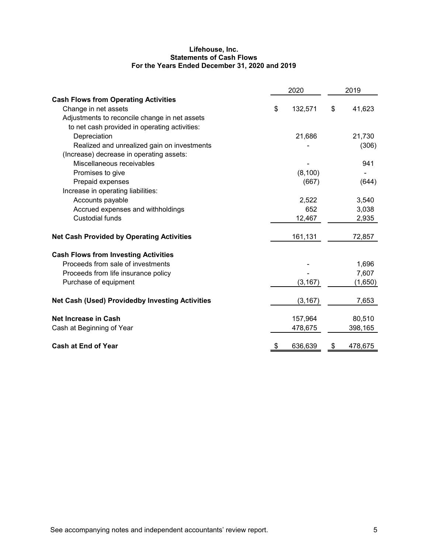#### **Lifehouse, Inc. Statements of Cash Flows For the Years Ended December 31, 2020 and 2019**

|                                                        | 2020          | 2019 |         |  |  |
|--------------------------------------------------------|---------------|------|---------|--|--|
| <b>Cash Flows from Operating Activities</b>            |               |      |         |  |  |
| Change in net assets                                   | \$<br>132,571 | \$   | 41,623  |  |  |
| Adjustments to reconcile change in net assets          |               |      |         |  |  |
| to net cash provided in operating activities:          |               |      |         |  |  |
| Depreciation                                           | 21,686        |      | 21,730  |  |  |
| Realized and unrealized gain on investments            |               |      | (306)   |  |  |
| (Increase) decrease in operating assets:               |               |      |         |  |  |
| Miscellaneous receivables                              |               |      | 941     |  |  |
| Promises to give                                       | (8, 100)      |      |         |  |  |
| Prepaid expenses                                       | (667)         |      | (644)   |  |  |
| Increase in operating liabilities:                     |               |      |         |  |  |
| Accounts payable                                       | 2,522         |      | 3,540   |  |  |
| Accrued expenses and withholdings                      | 652           |      | 3,038   |  |  |
| <b>Custodial funds</b>                                 | 12,467        |      | 2,935   |  |  |
| <b>Net Cash Provided by Operating Activities</b>       | 161,131       |      | 72,857  |  |  |
| <b>Cash Flows from Investing Activities</b>            |               |      |         |  |  |
| Proceeds from sale of investments                      |               |      | 1,696   |  |  |
| Proceeds from life insurance policy                    |               |      | 7,607   |  |  |
| Purchase of equipment                                  | (3, 167)      |      | (1,650) |  |  |
| <b>Net Cash (Used) Providedby Investing Activities</b> | (3, 167)      |      | 7,653   |  |  |
| Net Increase in Cash                                   | 157,964       |      | 80,510  |  |  |
| Cash at Beginning of Year                              | 478,675       |      | 398,165 |  |  |
| <b>Cash at End of Year</b>                             | 636,639       | \$   | 478,675 |  |  |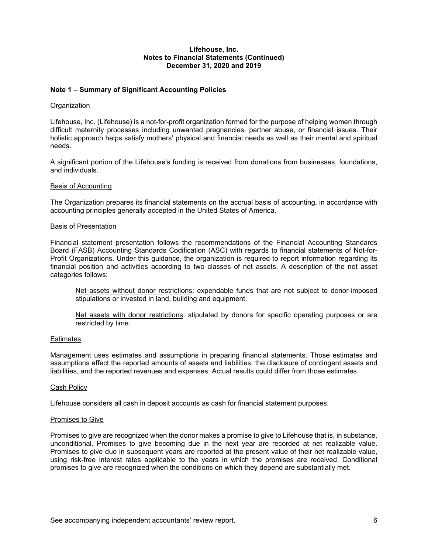## **Note 1 – Summary of Significant Accounting Policies**

#### **Organization**

Lifehouse, Inc. (Lifehouse) is a not-for-profit organization formed for the purpose of helping women through difficult maternity processes including unwanted pregnancies, partner abuse, or financial issues. Their holistic approach helps satisfy mothers' physical and financial needs as well as their mental and spiritual needs.

A significant portion of the Lifehouse's funding is received from donations from businesses, foundations, and individuals.

#### Basis of Accounting

The Organization prepares its financial statements on the accrual basis of accounting, in accordance with accounting principles generally accepted in the United States of America.

#### Basis of Presentation

Financial statement presentation follows the recommendations of the Financial Accounting Standards Board (FASB) Accounting Standards Codification (ASC) with regards to financial statements of Not-for-Profit Organizations. Under this guidance, the organization is required to report information regarding its financial position and activities according to two classes of net assets. A description of the net asset categories follows:

Net assets without donor restrictions: expendable funds that are not subject to donor-imposed stipulations or invested in land, building and equipment.

Net assets with donor restrictions: stipulated by donors for specific operating purposes or are restricted by time.

#### **Estimates**

Management uses estimates and assumptions in preparing financial statements. Those estimates and assumptions affect the reported amounts of assets and liabilities, the disclosure of contingent assets and liabilities, and the reported revenues and expenses. Actual results could differ from those estimates.

#### Cash Policy

Lifehouse considers all cash in deposit accounts as cash for financial statement purposes.

#### Promises to Give

Promises to give are recognized when the donor makes a promise to give to Lifehouse that is, in substance, unconditional. Promises to give becoming due in the next year are recorded at net realizable value. Promises to give due in subsequent years are reported at the present value of their net realizable value, using risk-free interest rates applicable to the years in which the promises are received. Conditional promises to give are recognized when the conditions on which they depend are substantially met.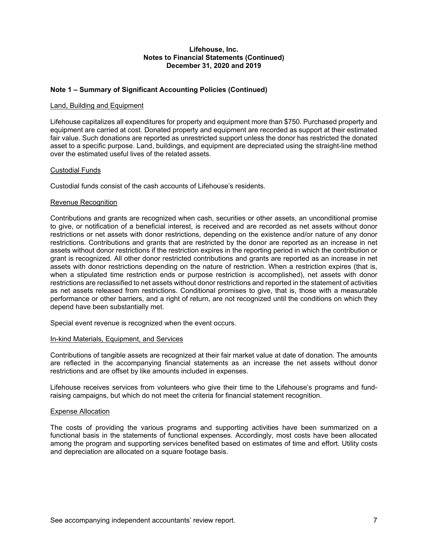## **Note 1 – Summary of Significant Accounting Policies (Continued)**

#### Land, Building and Equipment

Lifehouse capitalizes all expenditures for property and equipment more than \$750. Purchased property and equipment are carried at cost. Donated property and equipment are recorded as support at their estimated fair value. Such donations are reported as unrestricted support unless the donor has restricted the donated asset to a specific purpose. Land, buildings, and equipment are depreciated using the straight-line method over the estimated useful lives of the related assets.

#### Custodial Funds

Custodial funds consist of the cash accounts of Lifehouse's residents.

#### Revenue Recognition

Contributions and grants are recognized when cash, securities or other assets, an unconditional promise to give, or notification of a beneficial interest, is received and are recorded as net assets without donor restrictions or net assets with donor restrictions, depending on the existence and/or nature of any donor restrictions. Contributions and grants that are restricted by the donor are reported as an increase in net assets without donor restrictions if the restriction expires in the reporting period in which the contribution or grant is recognized. All other donor restricted contributions and grants are reported as an increase in net assets with donor restrictions depending on the nature of restriction. When a restriction expires (that is, when a stipulated time restriction ends or purpose restriction is accomplished), net assets with donor restrictions are reclassified to net assets without donor restrictions and reported in the statement of activities as net assets released from restrictions. Conditional promises to give, that is, those with a measurable performance or other barriers, and a right of return, are not recognized until the conditions on which they depend have been substantially met.

Special event revenue is recognized when the event occurs.

#### In-kind Materials, Equipment, and Services

Contributions of tangible assets are recognized at their fair market value at date of donation. The amounts are reflected in the accompanying financial statements as an increase the net assets without donor restrictions and are offset by like amounts included in expenses.

Lifehouse receives services from volunteers who give their time to the Lifehouse's programs and fundraising campaigns, but which do not meet the criteria for financial statement recognition.

## Expense Allocation

The costs of providing the various programs and supporting activities have been summarized on a functional basis in the statements of functional expenses. Accordingly, most costs have been allocated among the program and supporting services benefited based on estimates of time and effort. Utility costs and depreciation are allocated on a square footage basis.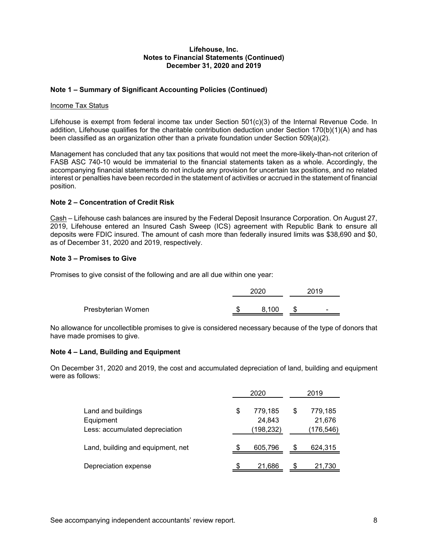## **Note 1 – Summary of Significant Accounting Policies (Continued)**

#### Income Tax Status

Lifehouse is exempt from federal income tax under Section 501(c)(3) of the Internal Revenue Code. In addition, Lifehouse qualifies for the charitable contribution deduction under Section 170(b)(1)(A) and has been classified as an organization other than a private foundation under Section 509(a)(2).

Management has concluded that any tax positions that would not meet the more-likely-than-not criterion of FASB ASC 740-10 would be immaterial to the financial statements taken as a whole. Accordingly, the accompanying financial statements do not include any provision for uncertain tax positions, and no related interest or penalties have been recorded in the statement of activities or accrued in the statement of financial position.

## **Note 2 – Concentration of Credit Risk**

Cash – Lifehouse cash balances are insured by the Federal Deposit Insurance Corporation. On August 27, 2019, Lifehouse entered an Insured Cash Sweep (ICS) agreement with Republic Bank to ensure all deposits were FDIC insured. The amount of cash more than federally insured limits was \$38,690 and \$0, as of December 31, 2020 and 2019, respectively.

## **Note 3 – Promises to Give**

Promises to give consist of the following and are all due within one year:

|                    | 2020  | 2019                     |
|--------------------|-------|--------------------------|
| Presbyterian Women | 8.100 |                          |
|                    |       | $\overline{\phantom{0}}$ |

No allowance for uncollectible promises to give is considered necessary because of the type of donors that have made promises to give.

## **Note 4 – Land, Building and Equipment**

On December 31, 2020 and 2019, the cost and accumulated depreciation of land, building and equipment were as follows:

|                                   | 2020 |                   |   | 2019              |
|-----------------------------------|------|-------------------|---|-------------------|
| Land and buildings<br>Equipment   | \$   | 779.185<br>24,843 | S | 779,185<br>21,676 |
| Less: accumulated depreciation    |      | (198, 232)        |   | (176, 546)        |
| Land, building and equipment, net | \$   | 605,796           | S | 624,315           |
| Depreciation expense              |      | 21,686            |   | 21,730            |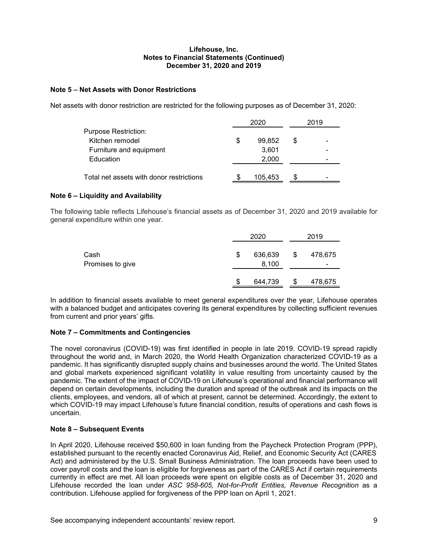## **Note 5 – Net Assets with Donor Restrictions**

Net assets with donor restriction are restricted for the following purposes as of December 31, 2020:

| Purpose Restriction:<br>Kitchen remodel<br>99,852<br>S<br>S |  |
|-------------------------------------------------------------|--|
|                                                             |  |
|                                                             |  |
| 3,601<br>Furniture and equipment                            |  |
| Education<br>2,000                                          |  |
|                                                             |  |
| Total net assets with donor restrictions<br>105,453<br>£.   |  |

## **Note 6 – Liquidity and Availability**

The following table reflects Lifehouse's financial assets as of December 31, 2020 and 2019 available for general expenditure within one year.

|                          |    | 2020             |    | 2019         |
|--------------------------|----|------------------|----|--------------|
| Cash<br>Promises to give | \$ | 636,639<br>8,100 | \$ | 478,675<br>- |
|                          | S  | 644,739          | S  | 478,675      |

In addition to financial assets available to meet general expenditures over the year, Lifehouse operates with a balanced budget and anticipates covering its general expenditures by collecting sufficient revenues from current and prior years' gifts.

## **Note 7 – Commitments and Contingencies**

The novel coronavirus (COVID-19) was first identified in people in late 2019. COVID-19 spread rapidly throughout the world and, in March 2020, the World Health Organization characterized COVID-19 as a pandemic. It has significantly disrupted supply chains and businesses around the world. The United States and global markets experienced significant volatility in value resulting from uncertainty caused by the pandemic. The extent of the impact of COVID-19 on Lifehouse's operational and financial performance will depend on certain developments, including the duration and spread of the outbreak and its impacts on the clients, employees, and vendors, all of which at present, cannot be determined. Accordingly, the extent to which COVID-19 may impact Lifehouse's future financial condition, results of operations and cash flows is uncertain.

## **Note 8 – Subsequent Events**

In April 2020, Lifehouse received \$50,600 in loan funding from the Paycheck Protection Program (PPP), established pursuant to the recently enacted Coronavirus Aid, Relief, and Economic Security Act (CARES Act) and administered by the U.S. Small Business Administration. The loan proceeds have been used to cover payroll costs and the loan is eligible for forgiveness as part of the CARES Act if certain requirements currently in effect are met. All loan proceeds were spent on eligible costs as of December 31, 2020 and Lifehouse recorded the loan under *ASC 958-605, Not-for-Profit Entities, Revenue Recognition* as a contribution. Lifehouse applied for forgiveness of the PPP loan on April 1, 2021.